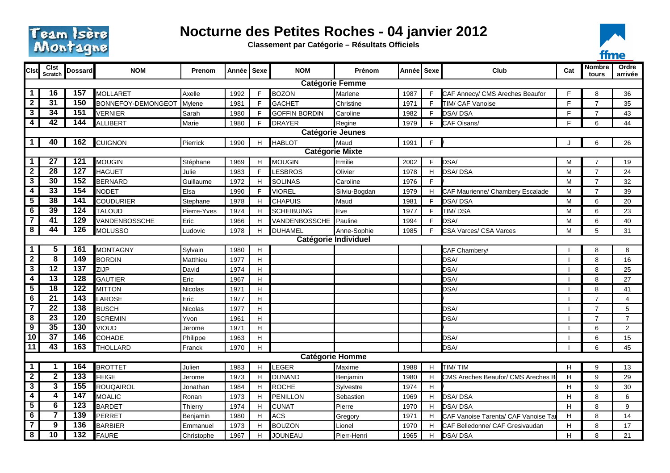

## **Nocturne des Petites Roches - 04 janvier 2012**

**Classement par Catégorie – Résultats Officiels**



| Cist                                                                                                                                      | <b>Clst</b>            | <b>Dossard</b>   | <b>NOM</b>                           | Prenom      | Année | Sexe         | <b>NOM</b>                               | Prénom        | Année   Sexe |    | Club                                | Cat     | <b>Nombre</b>  | Ordre          |
|-------------------------------------------------------------------------------------------------------------------------------------------|------------------------|------------------|--------------------------------------|-------------|-------|--------------|------------------------------------------|---------------|--------------|----|-------------------------------------|---------|----------------|----------------|
|                                                                                                                                           | Scratch                |                  |                                      |             |       |              |                                          |               |              |    |                                     |         | tours          | arrivée        |
| <b>Catégorie Femme</b><br>157<br>$\overline{16}$<br>1<br><b>MOLLARET</b><br>$\mathsf{F}$<br><b>BOZON</b><br>Marlene<br>F.<br>E<br>8       |                        |                  |                                      |             |       |              |                                          |               |              |    |                                     |         |                |                |
| $\overline{2}$                                                                                                                            | $\overline{31}$        | 150              |                                      | Axelle      | 1992  | F            | <b>GACHET</b>                            | Christine     | 1987         | F. | CAF Annecy/ CMS Areches Beaufor     | E       | $\overline{7}$ | 36             |
| $\overline{\mathbf{3}}$                                                                                                                   | 34                     | $\overline{151}$ | BONNEFOY-DEMONGEOT<br><b>VERNIER</b> | Mylene      | 1981  | F            |                                          |               | 1971         | F. | TIM/ CAF Vanoise                    | E       | $\overline{7}$ | 35             |
| $\overline{4}$                                                                                                                            | 42                     | 144              |                                      | Sarah       | 1980  | F            | <b>GOFFIN BORDIN</b>                     | Caroline      | 1982         | F. | <b>DSA/DSA</b>                      | E       |                | 43             |
|                                                                                                                                           |                        |                  | ALLIBERT                             | Marie       | 1980  |              | <b>DRAYER</b><br><b>Catégorie Jeunes</b> | Regine        | 1979         |    | CAF Oisans/                         |         | 6              | 44             |
| $\mathbf 1$                                                                                                                               | 40                     | 162              | <b>CUIGNON</b>                       | Pierrick    | 1990  | H            | <b>HABLOT</b>                            | Maud          | 1991         | F. |                                     | $\cdot$ | 6              | 26             |
|                                                                                                                                           | <b>Catégorie Mixte</b> |                  |                                      |             |       |              |                                          |               |              |    |                                     |         |                |                |
| 27<br>121<br><b>MOUGIN</b><br>Emilie<br>$\mathbf 1$<br>MOUGIN<br>F.<br>DSA/<br>Stéphane<br>1969<br>H<br>2002<br>$\overline{7}$<br>M<br>19 |                        |                  |                                      |             |       |              |                                          |               |              |    |                                     |         |                |                |
| $\overline{2}$                                                                                                                            | 28                     | 127              | <b>HAGUET</b>                        | Julie       | 1983  | $\mathsf{F}$ | LESBROS                                  | Olivier       | 1978         | H  | <b>JSA/DSA</b>                      | M       | $\overline{7}$ | 24             |
| $\overline{\mathbf{3}}$                                                                                                                   | 30                     | $\overline{152}$ | <b>BERNARD</b>                       | Guillaume   | 1972  | H            | <b>SOLINAS</b>                           | Caroline      | 1976         | F. |                                     | M       | $\overline{7}$ | 32             |
| $\overline{\mathbf{4}}$                                                                                                                   | 33                     | $\overline{154}$ | <b>NODET</b>                         | Elsa        | 1990  | F            | <b>VIOREL</b>                            | Silviu-Bogdan | 1979         | H. | CAF Maurienne/ Chambery Escalade    | M       | $\overline{7}$ | 39             |
| $5\overline{)}$                                                                                                                           | 38                     | 141              | <b>COUDURIER</b>                     | Stephane    | 1978  | H            | <b>CHAPUIS</b>                           | Maud          | 1981         | F. | <b>DSA/DSA</b>                      | M       | 6              | 20             |
| 6                                                                                                                                         | 39                     | 124              | <b>TALOUD</b>                        | Pierre-Yves | 1974  | H            | <b>SCHEIBUING</b>                        | Eve           | 1977         | F. | TIM/DSA                             | M       | 6              | 23             |
| $\overline{\mathbf{r}}$                                                                                                                   | 41                     | 129              | VANDENBOSSCHE                        | Eric        | 1966  | H            | VANDENBOSSCHE                            | Pauline       | 1994         | F. | DSA/                                | M       | 6              | 40             |
| $\overline{\mathbf{8}}$                                                                                                                   | 44                     | $\overline{126}$ | <b>MOLUSSO</b>                       | Ludovic     | 1978  | H            | DUHAMEL                                  | Anne-Sophie   | 1985         | F. | CSA Varces/ CSA Varces              | M       | 5              | 31             |
| Catégorie Individuel                                                                                                                      |                        |                  |                                      |             |       |              |                                          |               |              |    |                                     |         |                |                |
| $\mathbf 1$                                                                                                                               | 5                      | 161              | <b>MONTAGNY</b>                      | Sylvain     | 1980  | H            |                                          |               |              |    | CAF Chambery/                       |         | 8              | 8              |
| $\overline{2}$                                                                                                                            | 8                      | 149              | <b>BORDIN</b>                        | Matthieu    | 1977  | H            |                                          |               |              |    | DSA/                                |         | 8              | 16             |
| $\overline{\mathbf{3}}$                                                                                                                   | $\overline{12}$        | $\overline{137}$ | ZIJP                                 | David       | 1974  | H            |                                          |               |              |    | <b>OSA</b>                          |         | 8              | 25             |
| 4                                                                                                                                         | 13                     | $\overline{128}$ | <b>GAUTIER</b>                       | Eric        | 1967  | H            |                                          |               |              |    | DSA/                                |         | 8              | 27             |
| $\overline{5}$                                                                                                                            | 18                     | $\overline{122}$ | <b>MITTON</b>                        | Nicolas     | 1971  | H            |                                          |               |              |    | DSA/                                |         | 8              | 41             |
| $\overline{6}$                                                                                                                            | $\overline{21}$        | $\overline{143}$ | LAROSE                               | Eric        | 1977  | H            |                                          |               |              |    |                                     |         | $\overline{7}$ | $\overline{4}$ |
| $\overline{\mathbf{7}}$                                                                                                                   | $\overline{22}$        | $\overline{138}$ | <b>BUSCH</b>                         | Nicolas     | 1977  | H            |                                          |               |              |    | DSA/                                |         | $\overline{7}$ | 5              |
| 8                                                                                                                                         | $\overline{23}$        | 120              | <b>SCREMIN</b>                       | Yvon        | 1961  | H            |                                          |               |              |    | DSA/                                |         | $\overline{7}$ | $\overline{7}$ |
| $\overline{9}$                                                                                                                            | $\overline{35}$        | $\frac{130}{ }$  | <b>VIOUD</b>                         | Jerome      | 1971  | H            |                                          |               |              |    |                                     |         | 6              | $\overline{2}$ |
| 10                                                                                                                                        | $\overline{37}$        | 146              | COHADE                               | Philippe    | 1963  | H            |                                          |               |              |    | DSA/                                |         | 6              | 15             |
| $\overline{11}$                                                                                                                           | 43                     | 163              | <b>THOLLARD</b>                      | Franck      | 1970  | H            |                                          |               |              |    | DSA/                                |         | 6              | 45             |
| <b>Catégorie Homme</b>                                                                                                                    |                        |                  |                                      |             |       |              |                                          |               |              |    |                                     |         |                |                |
| $\mathbf 1$                                                                                                                               |                        | 164              | <b>BROTTET</b>                       | Julien      | 1983  | H            | LEGER                                    | Maxime        | 1988         | H. | TIM/TIM                             | H       | 9              | 13             |
| $\overline{2}$                                                                                                                            | $\mathbf{2}$           | $\overline{133}$ | <b>FEIGE</b>                         | Jerome      | 1973  | H            | <b>DUNAND</b>                            | Benjamin      | 1980         | H  | CMS Areches Beaufor/ CMS Areches B  | H       | 9              | 29             |
| 3                                                                                                                                         | 3                      | 155              | <b>ROUQAIROL</b>                     | Jonathan    | 1984  | H            | <b>ROCHE</b>                             | Sylvestre     | 1974         | Н. |                                     | Н       | 9              | 30             |
| $\overline{4}$                                                                                                                            | 4                      | $\overline{147}$ | <b>MOALIC</b>                        | Ronan       | 1973  | H            | <b>PENILLON</b>                          | Sebastien     | 1969         | H. | DSA/DSA                             | H       | 8              | 6              |
| $\sqrt{5}$                                                                                                                                | 6                      | 123              | <b>BARDET</b>                        | Thierry     | 1974  | H            | <b>CUNAT</b>                             | Pierre        | 1970         | H. | <b>DSA/DSA</b>                      | H       | 8              | 9              |
| 6                                                                                                                                         | 7                      | 139              | <b>PERRET</b>                        | Benjamin    | 1980  | H            | <b>ACS</b>                               | Gregory       | 1971         | H. | CAF Vanoise Tarenta/ CAF Vanoise Ta | H       | 8              | 14             |
| $\overline{\mathbf{r}}$                                                                                                                   | 9                      | $\overline{136}$ | <b>BARBIER</b>                       | Emmanuel    | 1973  | H            | <b>BOUZON</b>                            | Lionel        | 1970         | H. | CAF Belledonne/ CAF Gresivaudan     | H       | 8              | 17             |
| $\overline{\mathbf{8}}$                                                                                                                   | 10                     | $\overline{132}$ | FAURE                                | Christophe  | 1967  | H            | <b>JOUNEAU</b>                           | Pierr-Henri   | 1965         | H  | <b>DSA/DSA</b>                      | H       | 8              | 21             |